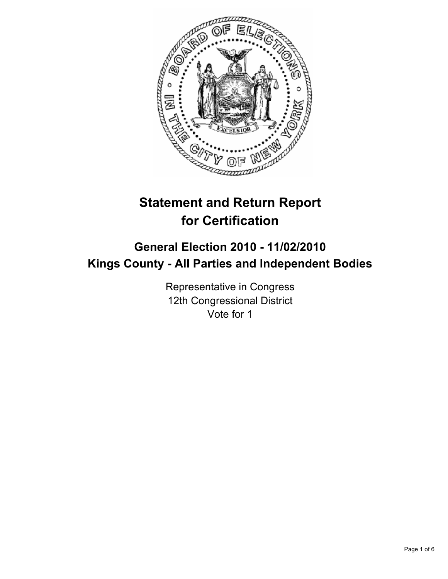

# **Statement and Return Report for Certification**

## **General Election 2010 - 11/02/2010 Kings County - All Parties and Independent Bodies**

Representative in Congress 12th Congressional District Vote for 1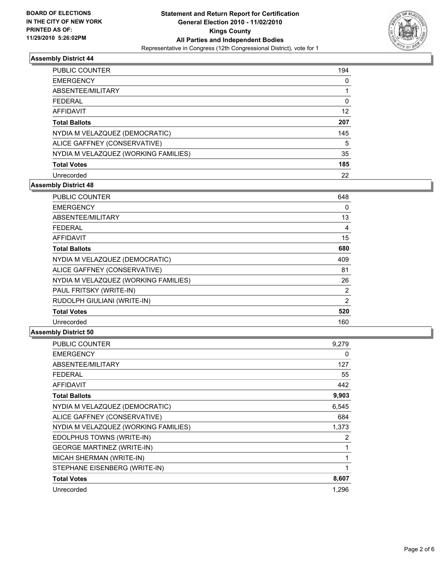

| PUBLIC COUNTER                       | 194 |
|--------------------------------------|-----|
| <b>EMERGENCY</b>                     | 0   |
| ABSENTEE/MILITARY                    |     |
| <b>FEDERAL</b>                       | 0   |
| <b>AFFIDAVIT</b>                     | 12  |
| <b>Total Ballots</b>                 | 207 |
| NYDIA M VELAZQUEZ (DEMOCRATIC)       | 145 |
| ALICE GAFFNEY (CONSERVATIVE)         | 5   |
| NYDIA M VELAZQUEZ (WORKING FAMILIES) | 35  |
| <b>Total Votes</b>                   | 185 |
| Unrecorded                           | 22  |

### **Assembly District 48**

| <b>PUBLIC COUNTER</b>                | 648 |
|--------------------------------------|-----|
| <b>EMERGENCY</b>                     | 0   |
| ABSENTEE/MILITARY                    | 13  |
| FEDERAL                              | 4   |
| <b>AFFIDAVIT</b>                     | 15  |
| <b>Total Ballots</b>                 | 680 |
| NYDIA M VELAZQUEZ (DEMOCRATIC)       | 409 |
| ALICE GAFFNEY (CONSERVATIVE)         | 81  |
| NYDIA M VELAZQUEZ (WORKING FAMILIES) | 26  |
| PAUL FRITSKY (WRITE-IN)              | 2   |
| RUDOLPH GIULIANI (WRITE-IN)          | 2   |
| <b>Total Votes</b>                   | 520 |
| Unrecorded                           | 160 |

| <b>PUBLIC COUNTER</b>                | 9.279 |
|--------------------------------------|-------|
| <b>EMERGENCY</b>                     | 0     |
| <b>ABSENTEE/MILITARY</b>             | 127   |
| FEDERAL                              | 55    |
| AFFIDAVIT                            | 442   |
| <b>Total Ballots</b>                 | 9,903 |
| NYDIA M VELAZQUEZ (DEMOCRATIC)       | 6,545 |
| ALICE GAFFNEY (CONSERVATIVE)         | 684   |
| NYDIA M VELAZQUEZ (WORKING FAMILIES) | 1,373 |
| EDOLPHUS TOWNS (WRITE-IN)            | 2     |
| <b>GEORGE MARTINEZ (WRITE-IN)</b>    | 1     |
| MICAH SHERMAN (WRITE-IN)             | 1     |
| STEPHANE EISENBERG (WRITE-IN)        | 1     |
| <b>Total Votes</b>                   | 8,607 |
| Unrecorded                           | 1.296 |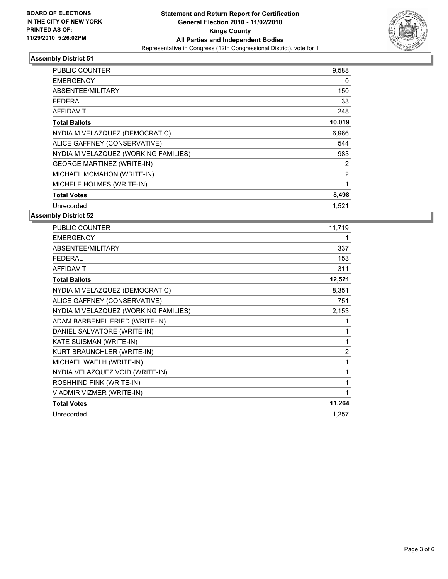

| PUBLIC COUNTER                       | 9,588        |
|--------------------------------------|--------------|
| <b>EMERGENCY</b>                     | 0            |
| ABSENTEE/MILITARY                    | 150          |
| <b>FEDERAL</b>                       | 33           |
| <b>AFFIDAVIT</b>                     | 248          |
| <b>Total Ballots</b>                 | 10,019       |
| NYDIA M VELAZQUEZ (DEMOCRATIC)       | 6,966        |
| ALICE GAFFNEY (CONSERVATIVE)         | 544          |
| NYDIA M VELAZQUEZ (WORKING FAMILIES) | 983          |
| <b>GEORGE MARTINEZ (WRITE-IN)</b>    | 2            |
| MICHAEL MCMAHON (WRITE-IN)           | 2            |
| MICHELE HOLMES (WRITE-IN)            | $\mathbf{1}$ |
| <b>Total Votes</b>                   | 8,498        |
| Unrecorded                           | 1,521        |

| <b>PUBLIC COUNTER</b>                | 11,719         |
|--------------------------------------|----------------|
| <b>EMERGENCY</b>                     | 1              |
| ABSENTEE/MILITARY                    | 337            |
| <b>FEDERAL</b>                       | 153            |
| <b>AFFIDAVIT</b>                     | 311            |
| <b>Total Ballots</b>                 | 12,521         |
| NYDIA M VELAZQUEZ (DEMOCRATIC)       | 8,351          |
| ALICE GAFFNEY (CONSERVATIVE)         | 751            |
| NYDIA M VELAZQUEZ (WORKING FAMILIES) | 2,153          |
| ADAM BARBENEL FRIED (WRITE-IN)       | 1              |
| DANIEL SALVATORE (WRITE-IN)          | 1              |
| KATE SUISMAN (WRITE-IN)              | 1              |
| KURT BRAUNCHLER (WRITE-IN)           | $\overline{2}$ |
| MICHAEL WAELH (WRITE-IN)             | 1              |
| NYDIA VELAZQUEZ VOID (WRITE-IN)      | 1              |
| ROSHHIND FINK (WRITE-IN)             | 1              |
| VIADMIR VIZMER (WRITE-IN)            | 1              |
| <b>Total Votes</b>                   | 11,264         |
| Unrecorded                           | 1,257          |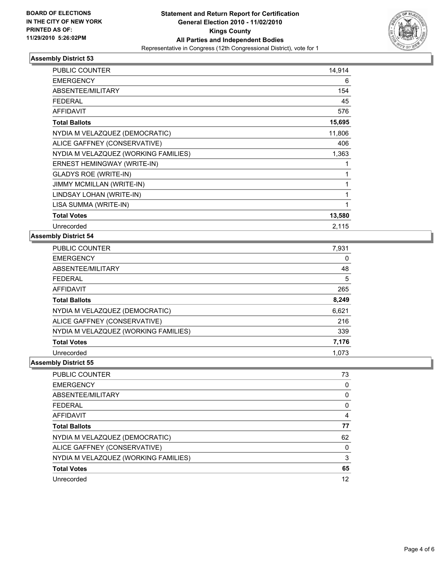

| <b>PUBLIC COUNTER</b>                | 14,914 |
|--------------------------------------|--------|
| <b>EMERGENCY</b>                     | 6      |
| <b>ABSENTEE/MILITARY</b>             | 154    |
| <b>FEDERAL</b>                       | 45     |
| <b>AFFIDAVIT</b>                     | 576    |
| <b>Total Ballots</b>                 | 15,695 |
| NYDIA M VELAZQUEZ (DEMOCRATIC)       | 11,806 |
| ALICE GAFFNEY (CONSERVATIVE)         | 406    |
| NYDIA M VELAZQUEZ (WORKING FAMILIES) | 1,363  |
| ERNEST HEMINGWAY (WRITE-IN)          | 1      |
| <b>GLADYS ROE (WRITE-IN)</b>         | 1      |
| <b>JIMMY MCMILLAN (WRITE-IN)</b>     | 1      |
| LINDSAY LOHAN (WRITE-IN)             | 1      |
| LISA SUMMA (WRITE-IN)                | 1      |
| <b>Total Votes</b>                   | 13,580 |
| Unrecorded                           | 2,115  |

## **Assembly District 54**

| PUBLIC COUNTER                       | 7,931 |
|--------------------------------------|-------|
| <b>EMERGENCY</b>                     | 0     |
| ABSENTEE/MILITARY                    | 48    |
| <b>FEDERAL</b>                       | 5     |
| <b>AFFIDAVIT</b>                     | 265   |
| <b>Total Ballots</b>                 | 8,249 |
| NYDIA M VELAZQUEZ (DEMOCRATIC)       | 6,621 |
| ALICE GAFFNEY (CONSERVATIVE)         | 216   |
| NYDIA M VELAZQUEZ (WORKING FAMILIES) | 339   |
| <b>Total Votes</b>                   | 7,176 |
| Unrecorded                           | 1,073 |

| <b>PUBLIC COUNTER</b>                | 73       |
|--------------------------------------|----------|
| <b>EMERGENCY</b>                     | 0        |
| ABSENTEE/MILITARY                    | 0        |
| <b>FEDERAL</b>                       | 0        |
| AFFIDAVIT                            | 4        |
| <b>Total Ballots</b>                 | 77       |
| NYDIA M VELAZQUEZ (DEMOCRATIC)       | 62       |
| ALICE GAFFNEY (CONSERVATIVE)         | $\Omega$ |
| NYDIA M VELAZQUEZ (WORKING FAMILIES) | 3        |
| <b>Total Votes</b>                   | 65       |
| Unrecorded                           | 12       |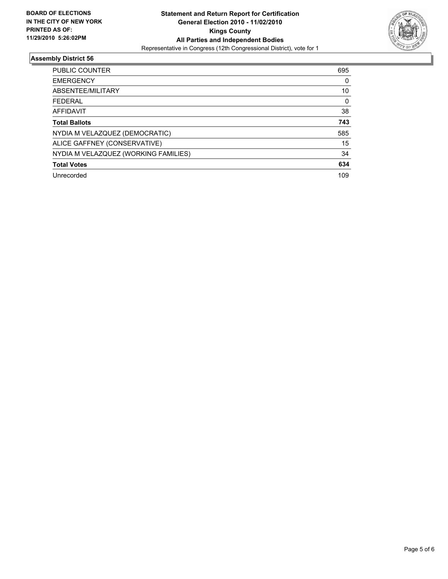

| <b>PUBLIC COUNTER</b>                | 695 |
|--------------------------------------|-----|
| <b>EMERGENCY</b>                     | 0   |
| ABSENTEE/MILITARY                    | 10  |
| <b>FFDFRAI</b>                       | 0   |
| <b>AFFIDAVIT</b>                     | 38  |
| <b>Total Ballots</b>                 | 743 |
| NYDIA M VELAZQUEZ (DEMOCRATIC)       | 585 |
| ALICE GAFFNEY (CONSERVATIVE)         | 15  |
| NYDIA M VELAZQUEZ (WORKING FAMILIES) | 34  |
| <b>Total Votes</b>                   | 634 |
| Unrecorded                           | 109 |